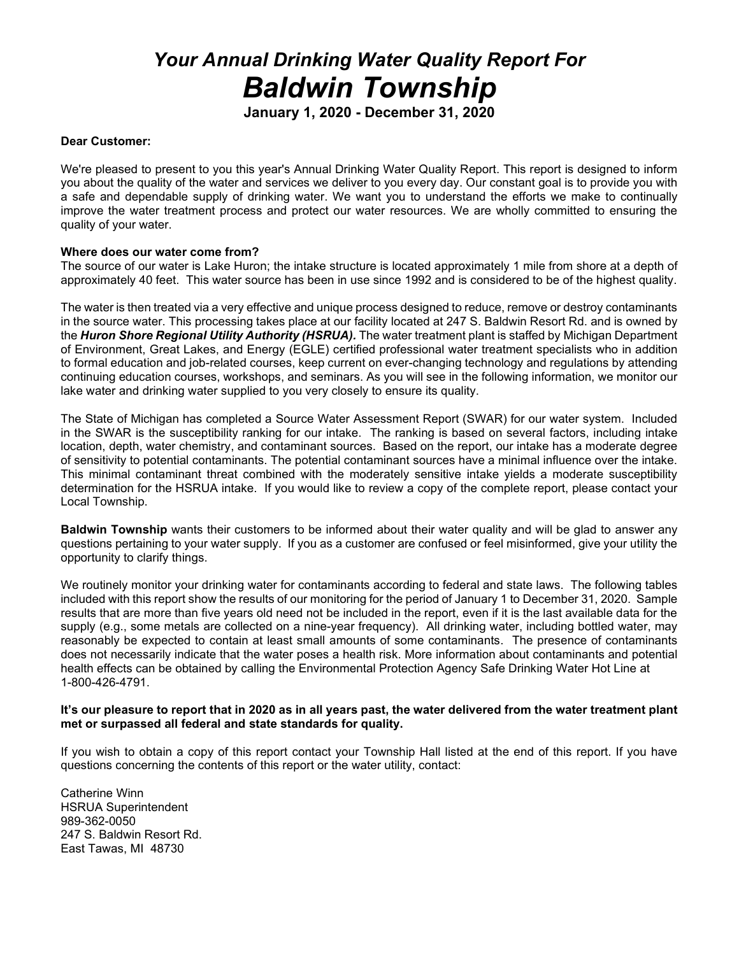# *Your Annual Drinking Water Quality Report For Baldwin Township*

**January 1, 2020 - December 31, 2020**

#### **Dear Customer:**

We're pleased to present to you this year's Annual Drinking Water Quality Report. This report is designed to inform you about the quality of the water and services we deliver to you every day. Our constant goal is to provide you with a safe and dependable supply of drinking water. We want you to understand the efforts we make to continually improve the water treatment process and protect our water resources. We are wholly committed to ensuring the quality of your water.

#### **Where does our water come from?**

The source of our water is Lake Huron; the intake structure is located approximately 1 mile from shore at a depth of approximately 40 feet. This water source has been in use since 1992 and is considered to be of the highest quality.

The water is then treated via a very effective and unique process designed to reduce, remove or destroy contaminants in the source water. This processing takes place at our facility located at 247 S. Baldwin Resort Rd. and is owned by the *Huron Shore Regional Utility Authority (HSRUA).* The water treatment plant is staffed by Michigan Department of Environment, Great Lakes, and Energy (EGLE) certified professional water treatment specialists who in addition to formal education and job-related courses, keep current on ever-changing technology and regulations by attending continuing education courses, workshops, and seminars. As you will see in the following information, we monitor our lake water and drinking water supplied to you very closely to ensure its quality.

The State of Michigan has completed a Source Water Assessment Report (SWAR) for our water system. Included in the SWAR is the susceptibility ranking for our intake. The ranking is based on several factors, including intake location, depth, water chemistry, and contaminant sources. Based on the report, our intake has a moderate degree of sensitivity to potential contaminants. The potential contaminant sources have a minimal influence over the intake. This minimal contaminant threat combined with the moderately sensitive intake yields a moderate susceptibility determination for the HSRUA intake. If you would like to review a copy of the complete report, please contact your Local Township.

**Baldwin Township** wants their customers to be informed about their water quality and will be glad to answer any questions pertaining to your water supply. If you as a customer are confused or feel misinformed, give your utility the opportunity to clarify things.

We routinely monitor your drinking water for contaminants according to federal and state laws. The following tables included with this report show the results of our monitoring for the period of January 1 to December 31, 2020. Sample results that are more than five years old need not be included in the report, even if it is the last available data for the supply (e.g., some metals are collected on a nine-year frequency). All drinking water, including bottled water, may reasonably be expected to contain at least small amounts of some contaminants. The presence of contaminants does not necessarily indicate that the water poses a health risk. More information about contaminants and potential health effects can be obtained by calling the Environmental Protection Agency Safe Drinking Water Hot Line at 1-800-426-4791.

#### **It's our pleasure to report that in 2020 as in all years past, the water delivered from the water treatment plant met or surpassed all federal and state standards for quality.**

If you wish to obtain a copy of this report contact your Township Hall listed at the end of this report. If you have questions concerning the contents of this report or the water utility, contact:

Catherine Winn HSRUA Superintendent 989-362-0050 247 S. Baldwin Resort Rd. East Tawas, MI 48730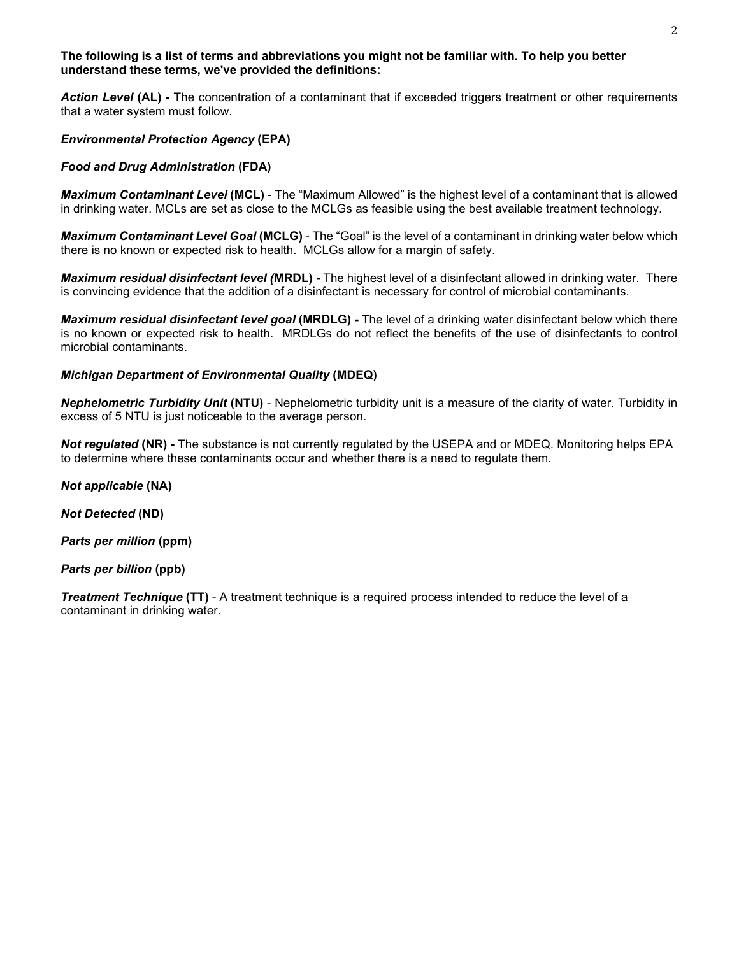#### **The following is a list of terms and abbreviations you might not be familiar with. To help you better understand these terms, we've provided the definitions:**

*Action Level* **(AL) -** The concentration of a contaminant that if exceeded triggers treatment or other requirements that a water system must follow.

#### *Environmental Protection Agency* **(EPA)**

#### *Food and Drug Administration* **(FDA)**

*Maximum Contaminant Level* **(MCL)** - The "Maximum Allowed" is the highest level of a contaminant that is allowed in drinking water. MCLs are set as close to the MCLGs as feasible using the best available treatment technology.

*Maximum Contaminant Level Goal* **(MCLG)** - The "Goal" is the level of a contaminant in drinking water below which there is no known or expected risk to health. MCLGs allow for a margin of safety.

*Maximum residual disinfectant level (***MRDL) -** The highest level of a disinfectant allowed in drinking water. There is convincing evidence that the addition of a disinfectant is necessary for control of microbial contaminants.

*Maximum residual disinfectant level goal* **(MRDLG) -** The level of a drinking water disinfectant below which there is no known or expected risk to health. MRDLGs do not reflect the benefits of the use of disinfectants to control microbial contaminants.

#### *Michigan Department of Environmental Quality* **(MDEQ)**

*Nephelometric Turbidity Unit* **(NTU)** - Nephelometric turbidity unit is a measure of the clarity of water. Turbidity in excess of 5 NTU is just noticeable to the average person.

*Not regulated* **(NR) -** The substance is not currently regulated by the USEPA and or MDEQ. Monitoring helps EPA to determine where these contaminants occur and whether there is a need to regulate them.

*Not applicable* **(NA)**

*Not Detected* **(ND)**

*Parts per million* **(ppm)**

*Parts per billion* **(ppb)**

*Treatment Technique* **(TT)** - A treatment technique is a required process intended to reduce the level of a contaminant in drinking water.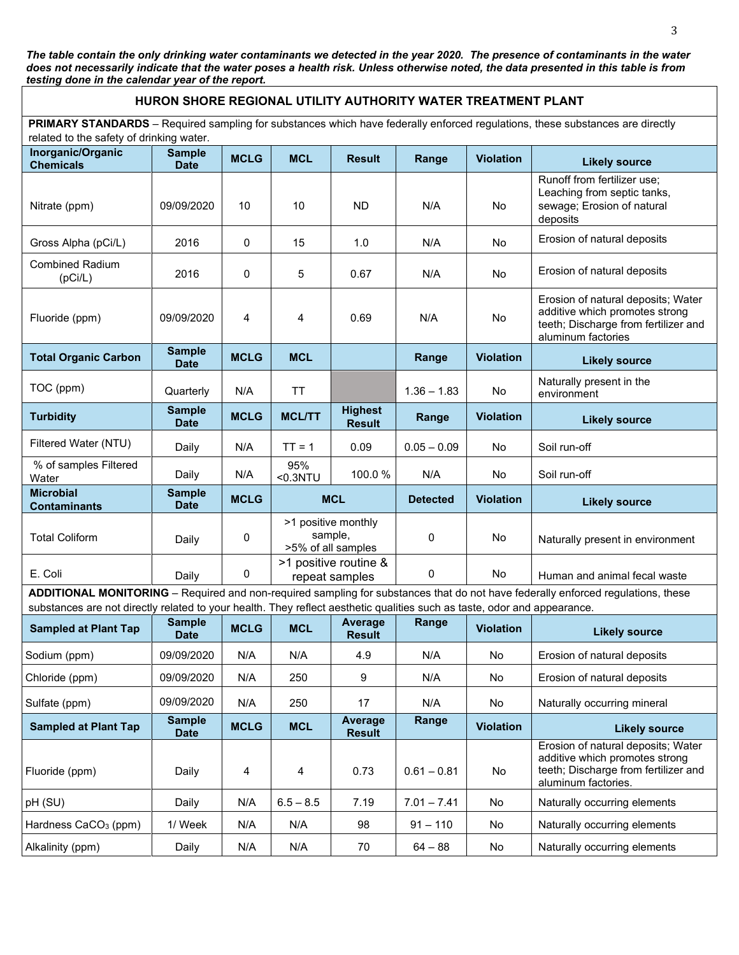*The table contain the only drinking water contaminants we detected in the year 2020. The presence of contaminants in the water does not necessarily indicate that the water poses a health risk. Unless otherwise noted, the data presented in this table is from testing done in the calendar year of the report.*

## **HURON SHORE REGIONAL UTILITY AUTHORITY WATER TREATMENT PLANT**

**PRIMARY STANDARDS** – Required sampling for substances which have federally enforced regulations, these substances are directly related to the safety of drinking water.

| related to the salety of annihing water.<br>Inorganic/Organic<br><b>Chemicals</b>                                                                                                                                                                            | <b>Sample</b><br><b>Date</b> | <b>MCLG</b> | <b>MCL</b>                                           | <b>Result</b>                   | Range           | <b>Violation</b> | <b>Likely source</b>                                                                                                                |
|--------------------------------------------------------------------------------------------------------------------------------------------------------------------------------------------------------------------------------------------------------------|------------------------------|-------------|------------------------------------------------------|---------------------------------|-----------------|------------------|-------------------------------------------------------------------------------------------------------------------------------------|
| Nitrate (ppm)                                                                                                                                                                                                                                                | 09/09/2020                   | 10          | 10                                                   | <b>ND</b>                       | N/A             | No               | Runoff from fertilizer use;<br>Leaching from septic tanks,<br>sewage; Erosion of natural<br>deposits                                |
| Gross Alpha (pCi/L)                                                                                                                                                                                                                                          | 2016                         | 0           | 15                                                   | 1.0                             | N/A             | No               | Erosion of natural deposits                                                                                                         |
| <b>Combined Radium</b><br>(pCi/L)                                                                                                                                                                                                                            | 2016                         | 0           | 5                                                    | 0.67                            | N/A             | No               | Erosion of natural deposits                                                                                                         |
| Fluoride (ppm)                                                                                                                                                                                                                                               | 09/09/2020                   | 4           | 4                                                    | 0.69                            | N/A             | No               | Erosion of natural deposits; Water<br>additive which promotes strong<br>teeth; Discharge from fertilizer and<br>aluminum factories  |
| <b>Total Organic Carbon</b>                                                                                                                                                                                                                                  | <b>Sample</b><br><b>Date</b> | <b>MCLG</b> | <b>MCL</b>                                           |                                 | Range           | <b>Violation</b> | <b>Likely source</b>                                                                                                                |
| TOC (ppm)                                                                                                                                                                                                                                                    | Quarterly                    | N/A         | <b>TT</b>                                            |                                 | $1.36 - 1.83$   | No               | Naturally present in the<br>environment                                                                                             |
| <b>Turbidity</b>                                                                                                                                                                                                                                             | <b>Sample</b><br><b>Date</b> | <b>MCLG</b> | <b>MCL/TT</b>                                        | <b>Highest</b><br><b>Result</b> | Range           | <b>Violation</b> | <b>Likely source</b>                                                                                                                |
| Filtered Water (NTU)                                                                                                                                                                                                                                         | Daily                        | N/A         | $TT = 1$                                             | 0.09                            | $0.05 - 0.09$   | No               | Soil run-off                                                                                                                        |
| % of samples Filtered<br>Water                                                                                                                                                                                                                               | Daily                        | N/A         | 95%<br>$0.3NTU$                                      | 100.0%                          | N/A             | No               | Soil run-off                                                                                                                        |
| <b>Microbial</b><br><b>Contaminants</b>                                                                                                                                                                                                                      | <b>Sample</b><br><b>Date</b> | <b>MCLG</b> | <b>MCL</b>                                           |                                 | <b>Detected</b> | <b>Violation</b> | <b>Likely source</b>                                                                                                                |
| <b>Total Coliform</b>                                                                                                                                                                                                                                        | Daily                        | 0           | >1 positive monthly<br>sample,<br>>5% of all samples |                                 | 0               | No               | Naturally present in environment                                                                                                    |
| E. Coli                                                                                                                                                                                                                                                      | Daily                        | $\mathbf 0$ | >1 positive routine &<br>repeat samples              |                                 | 0               | No               | Human and animal fecal waste                                                                                                        |
| ADDITIONAL MONITORING - Required and non-required sampling for substances that do not have federally enforced regulations, these<br>substances are not directly related to your health. They reflect aesthetic qualities such as taste, odor and appearance. |                              |             |                                                      |                                 |                 |                  |                                                                                                                                     |
| <b>Sampled at Plant Tap</b>                                                                                                                                                                                                                                  | <b>Sample</b><br><b>Date</b> | <b>MCLG</b> | <b>MCL</b>                                           | Average<br><b>Result</b>        | Range           | <b>Violation</b> | <b>Likely source</b>                                                                                                                |
| Sodium (ppm)                                                                                                                                                                                                                                                 | 09/09/2020                   | N/A         | N/A                                                  | 4.9                             | N/A             | No               | Erosion of natural deposits                                                                                                         |
| Chloride (ppm)                                                                                                                                                                                                                                               | 09/09/2020                   | N/A         | 250                                                  | 9                               | N/A             | No               | Erosion of natural deposits                                                                                                         |
| Sulfate (ppm)                                                                                                                                                                                                                                                | 09/09/2020                   | N/A         | 250                                                  | 17                              | N/A             | No               | Naturally occurring mineral                                                                                                         |
| <b>Sampled at Plant Tap</b>                                                                                                                                                                                                                                  | <b>Sample</b><br><b>Date</b> | <b>MCLG</b> | <b>MCL</b>                                           | <b>Average</b><br><b>Result</b> | Range           | <b>Violation</b> | <b>Likely source</b>                                                                                                                |
| Fluoride (ppm)                                                                                                                                                                                                                                               | Daily                        | 4           | 4                                                    | 0.73                            | $0.61 - 0.81$   | No               | Erosion of natural deposits; Water<br>additive which promotes strong<br>teeth; Discharge from fertilizer and<br>aluminum factories. |
| pH (SU)                                                                                                                                                                                                                                                      | Daily                        | N/A         | $6.5 - 8.5$                                          | 7.19                            | $7.01 - 7.41$   | No               | Naturally occurring elements                                                                                                        |
| Hardness CaCO <sub>3</sub> (ppm)                                                                                                                                                                                                                             | 1/ Week                      | N/A         | N/A                                                  | 98                              | $91 - 110$      | No               | Naturally occurring elements                                                                                                        |
| Alkalinity (ppm)                                                                                                                                                                                                                                             | Daily                        | N/A         | N/A                                                  | 70                              | $64 - 88$       | No               | Naturally occurring elements                                                                                                        |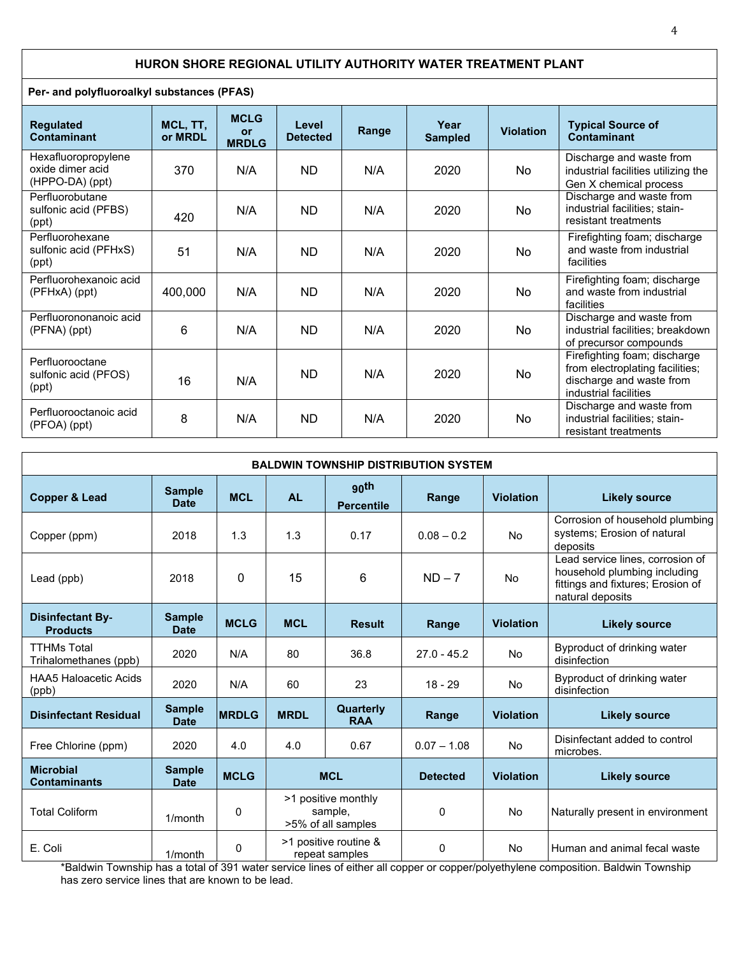## **HURON SHORE REGIONAL UTILITY AUTHORITY WATER TREATMENT PLANT**

**Per- and polyfluoroalkyl substances (PFAS)**

| <b>Regulated</b><br>Contaminant                            | MCL, TT,<br>or MRDL | <b>MCLG</b><br><b>or</b><br><b>MRDLG</b> | Level<br><b>Detected</b> | Range | Year<br><b>Sampled</b> | <b>Violation</b> | <b>Typical Source of</b><br><b>Contaminant</b>                                                                       |
|------------------------------------------------------------|---------------------|------------------------------------------|--------------------------|-------|------------------------|------------------|----------------------------------------------------------------------------------------------------------------------|
| Hexafluoropropylene<br>oxide dimer acid<br>(HPPO-DA) (ppt) | 370                 | N/A                                      | <b>ND</b>                | N/A   | 2020                   | No               | Discharge and waste from<br>industrial facilities utilizing the<br>Gen X chemical process                            |
| Perfluorobutane<br>sulfonic acid (PFBS)<br>(ppt)           | 420                 | N/A                                      | <b>ND</b>                | N/A   | 2020                   | No               | Discharge and waste from<br>industrial facilities; stain-<br>resistant treatments                                    |
| Perfluorohexane<br>sulfonic acid (PFHxS)<br>(ppt)          | 51                  | N/A                                      | <b>ND</b>                | N/A   | 2020                   | N <sub>o</sub>   | Firefighting foam; discharge<br>and waste from industrial<br>facilities                                              |
| Perfluorohexanoic acid<br>$(PFHxA)$ (ppt)                  | 400,000             | N/A                                      | <b>ND</b>                | N/A   | 2020                   | N <sub>o</sub>   | Firefighting foam; discharge<br>and waste from industrial<br>facilities                                              |
| Perfluorononanoic acid<br>(PFNA) (ppt)                     | 6                   | N/A                                      | <b>ND</b>                | N/A   | 2020                   | <b>No</b>        | Discharge and waste from<br>industrial facilities; breakdown<br>of precursor compounds                               |
| Perfluorooctane<br>sulfonic acid (PFOS)<br>(ppt)           | 16                  | N/A                                      | <b>ND</b>                | N/A   | 2020                   | <b>No</b>        | Firefighting foam; discharge<br>from electroplating facilities;<br>discharge and waste from<br>industrial facilities |
| Perfluorooctanoic acid<br>(PFOA) (ppt)                     | 8                   | N/A                                      | <b>ND</b>                | N/A   | 2020                   | No               | Discharge and waste from<br>industrial facilities; stain-<br>resistant treatments                                    |

| <b>BALDWIN TOWNSHIP DISTRIBUTION SYSTEM</b> |                              |              |                                                      |                                  |                 |                  |                                                                                                                           |
|---------------------------------------------|------------------------------|--------------|------------------------------------------------------|----------------------------------|-----------------|------------------|---------------------------------------------------------------------------------------------------------------------------|
| <b>Copper &amp; Lead</b>                    | <b>Sample</b><br><b>Date</b> | <b>MCL</b>   | <b>AL</b>                                            | <b>90th</b><br><b>Percentile</b> | Range           | <b>Violation</b> | <b>Likely source</b>                                                                                                      |
| Copper (ppm)                                | 2018                         | 1.3          | 1.3                                                  | 0.17                             | $0.08 - 0.2$    | <b>No</b>        | Corrosion of household plumbing<br>systems; Erosion of natural<br>deposits                                                |
| Lead (ppb)                                  | 2018                         | $\Omega$     | 15                                                   | 6                                | $ND - 7$        | No               | Lead service lines, corrosion of<br>household plumbing including<br>fittings and fixtures; Erosion of<br>natural deposits |
| <b>Disinfectant By-</b><br><b>Products</b>  | <b>Sample</b><br><b>Date</b> | <b>MCLG</b>  | <b>MCL</b>                                           | <b>Result</b>                    | Range           | <b>Violation</b> | <b>Likely source</b>                                                                                                      |
| <b>TTHMs Total</b><br>Trihalomethanes (ppb) | 2020                         | N/A          | 80                                                   | 36.8                             | $27.0 - 45.2$   | <b>No</b>        | Byproduct of drinking water<br>disinfection                                                                               |
| <b>HAA5 Haloacetic Acids</b><br>(ppb)       | 2020                         | N/A          | 60                                                   | 23                               | $18 - 29$       | <b>No</b>        | Byproduct of drinking water<br>disinfection                                                                               |
| <b>Disinfectant Residual</b>                | <b>Sample</b><br><b>Date</b> | <b>MRDLG</b> | <b>MRDL</b>                                          | Quarterly<br><b>RAA</b>          | Range           | <b>Violation</b> | <b>Likely source</b>                                                                                                      |
| Free Chlorine (ppm)                         | 2020                         | 4.0          | 4.0                                                  | 0.67                             | $0.07 - 1.08$   | <b>No</b>        | Disinfectant added to control<br>microbes.                                                                                |
| <b>Microbial</b><br><b>Contaminants</b>     | <b>Sample</b><br><b>Date</b> | <b>MCLG</b>  | <b>MCL</b>                                           |                                  | <b>Detected</b> | <b>Violation</b> | <b>Likely source</b>                                                                                                      |
| <b>Total Coliform</b>                       | $1/m$ onth                   | 0            | >1 positive monthly<br>sample,<br>>5% of all samples |                                  | 0               | <b>No</b>        | Naturally present in environment                                                                                          |
| E. Coli                                     | $1/m$ onth                   | 0            | >1 positive routine &<br>repeat samples              |                                  | 0               | <b>No</b>        | Human and animal fecal waste                                                                                              |

\*Baldwin Township has a total of 391 water service lines of either all copper or copper/polyethylene composition. Baldwin Township has zero service lines that are known to be lead.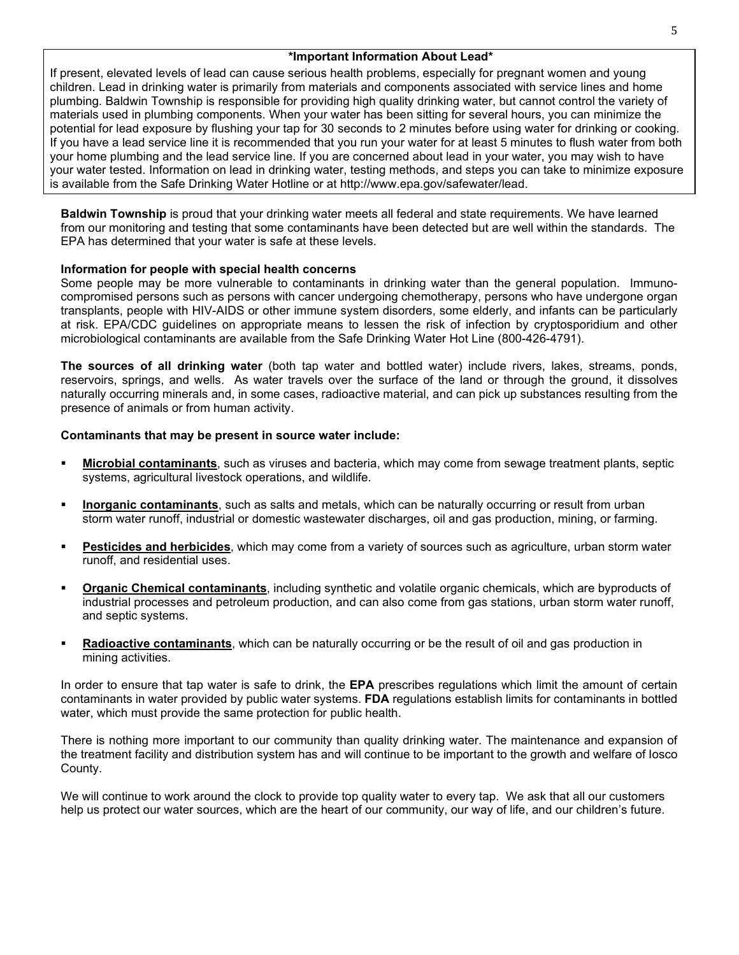## **\*Important Information About Lead\***

If present, elevated levels of lead can cause serious health problems, especially for pregnant women and young children. Lead in drinking water is primarily from materials and components associated with service lines and home plumbing. Baldwin Township is responsible for providing high quality drinking water, but cannot control the variety of materials used in plumbing components. When your water has been sitting for several hours, you can minimize the potential for lead exposure by flushing your tap for 30 seconds to 2 minutes before using water for drinking or cooking. If you have a lead service line it is recommended that you run your water for at least 5 minutes to flush water from both your home plumbing and the lead service line. If you are concerned about lead in your water, you may wish to have your water tested. Information on lead in drinking water, testing methods, and steps you can take to minimize exposure is available from the Safe Drinking Water Hotline or at http://www.epa.gov/safewater/lead.

**Baldwin Township** is proud that your drinking water meets all federal and state requirements. We have learned from our monitoring and testing that some contaminants have been detected but are well within the standards. The EPA has determined that your water is safe at these levels.

### **Information for people with special health concerns**

Some people may be more vulnerable to contaminants in drinking water than the general population. Immunocompromised persons such as persons with cancer undergoing chemotherapy, persons who have undergone organ transplants, people with HIV-AIDS or other immune system disorders, some elderly, and infants can be particularly at risk. EPA/CDC guidelines on appropriate means to lessen the risk of infection by cryptosporidium and other microbiological contaminants are available from the Safe Drinking Water Hot Line (800-426-4791).

**The sources of all drinking water** (both tap water and bottled water) include rivers, lakes, streams, ponds, reservoirs, springs, and wells. As water travels over the surface of the land or through the ground, it dissolves naturally occurring minerals and, in some cases, radioactive material, and can pick up substances resulting from the presence of animals or from human activity.

#### **Contaminants that may be present in source water include:**

- **Microbial contaminants**, such as viruses and bacteria, which may come from sewage treatment plants, septic systems, agricultural livestock operations, and wildlife.
- **Inorganic contaminants**, such as salts and metals, which can be naturally occurring or result from urban storm water runoff, industrial or domestic wastewater discharges, oil and gas production, mining, or farming.
- **Pesticides and herbicides**, which may come from a variety of sources such as agriculture, urban storm water runoff, and residential uses.
- **Organic Chemical contaminants**, including synthetic and volatile organic chemicals, which are byproducts of industrial processes and petroleum production, and can also come from gas stations, urban storm water runoff, and septic systems.
- **Radioactive contaminants**, which can be naturally occurring or be the result of oil and gas production in mining activities.

In order to ensure that tap water is safe to drink, the **EPA** prescribes regulations which limit the amount of certain contaminants in water provided by public water systems. **FDA** regulations establish limits for contaminants in bottled water, which must provide the same protection for public health.

There is nothing more important to our community than quality drinking water. The maintenance and expansion of the treatment facility and distribution system has and will continue to be important to the growth and welfare of Iosco County.

We will continue to work around the clock to provide top quality water to every tap. We ask that all our customers help us protect our water sources, which are the heart of our community, our way of life, and our children's future.